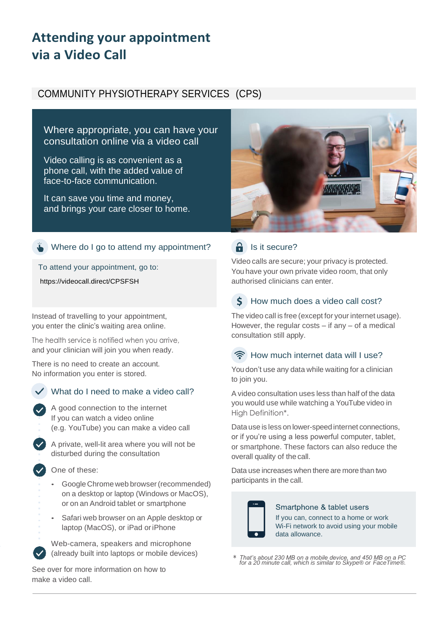# **Attending your appointment via a Video Call**

# COMMUNITY PHYSIOTHERAPY SERVICES (CPS)

Where appropriate, you can have your consultation online via a video call

Video calling is as convenient as a phone call, with the added value of face-to-face communication.

It can save you time and money, and brings your care closer to home.



## Where do I go to attend my appointment?

To attend your appointment, go to:

https://videocall.direct/CPSFSH

Instead of travelling to your appointment, you enter the clinic's waiting area online.

The health service is notified when you arrive, and your clinician will join you when ready.

There is no need to create an account. No information you enter is stored.



## What do I need to make a video call?

A good connection to the internet If you can watch a video online (e.g. YouTube) you can make a video call

A private, well-lit area where you will not be disturbed during the consultation

One of these:

- Google Chrome web browser(recommended) on a desktop or laptop (Windows or MacOS), or on an Android tablet or smartphone
- Safari web browser on an Apple desktop or laptop (MacOS), or iPad oriPhone

Web-camera, speakers and microphone (already built into laptops or mobile devices)

See over for more information on how to make a video call.

# $\theta$  Is it secure?

Video calls are secure; your privacy is protected. You have your own private video room, that only authorised clinicians can enter.

#### $\mathbf S$ How much does a video call cost?

The video call is free (except for your internet usage). However, the regular costs  $-$  if any  $-$  of a medical consultation still apply.

#### How much internet data will I use?

You don't use any data while waiting for a clinician to join you.

A video consultation uses less than half of the data you would use while watching a YouTube video in High Definition\*.

Data use is less on lower-speed internet connections, or if you're using a less powerful computer, tablet, or smartphone. These factors can also reduce the overall quality of the call.

Data use increases when there are more than two participants in the call.



Smartphone & tablet users If you can, connect to a home or work Wi-Fi network to avoid using your mobile data allowance.

\* *That's about 230 MB on a mobile device, and 450 MB on a PC for a 20 minute call, which is similar to Skype® or FaceTime®.*